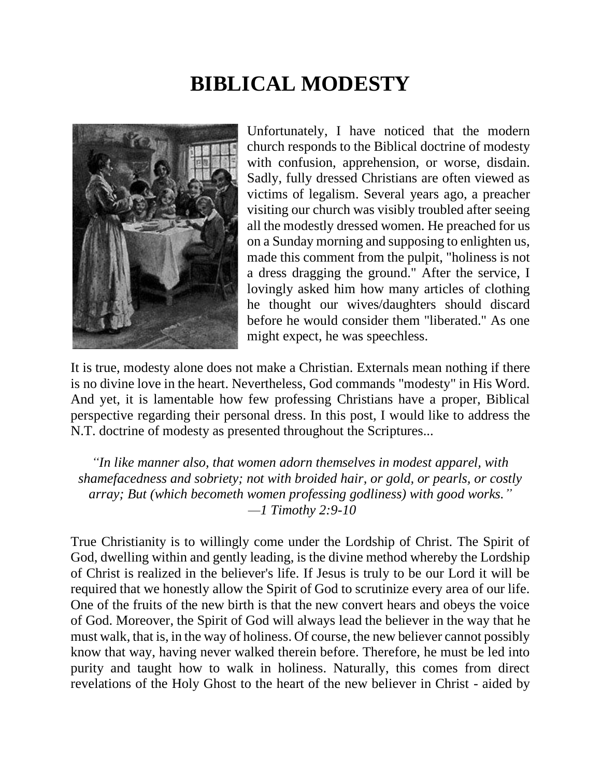# **BIBLICAL MODESTY**



Unfortunately, I have noticed that the modern church responds to the Biblical doctrine of modesty with confusion, apprehension, or worse, disdain. Sadly, fully dressed Christians are often viewed as victims of legalism. Several years ago, a preacher visiting our church was visibly troubled after seeing all the modestly dressed women. He preached for us on a Sunday morning and supposing to enlighten us, made this comment from the pulpit, "holiness is not a dress dragging the ground." After the service, I lovingly asked him how many articles of clothing he thought our wives/daughters should discard before he would consider them "liberated." As one might expect, he was speechless.

It is true, modesty alone does not make a Christian. Externals mean nothing if there is no divine love in the heart. Nevertheless, God commands "modesty" in His Word. And yet, it is lamentable how few professing Christians have a proper, Biblical perspective regarding their personal dress. In this post, I would like to address the N.T. doctrine of modesty as presented throughout the Scriptures...

*"In like manner also, that women adorn themselves in modest apparel, with shamefacedness and sobriety; not with broided hair, or gold, or pearls, or costly array; But (which becometh women professing godliness) with good works." —1 Timothy 2:9-10*

True Christianity is to willingly come under the Lordship of Christ. The Spirit of God, dwelling within and gently leading, is the divine method whereby the Lordship of Christ is realized in the believer's life. If Jesus is truly to be our Lord it will be required that we honestly allow the Spirit of God to scrutinize every area of our life. One of the fruits of the new birth is that the new convert hears and obeys the voice of God. Moreover, the Spirit of God will always lead the believer in the way that he must walk, that is, in the way of holiness. Of course, the new believer cannot possibly know that way, having never walked therein before. Therefore, he must be led into purity and taught how to walk in holiness. Naturally, this comes from direct revelations of the Holy Ghost to the heart of the new believer in Christ - aided by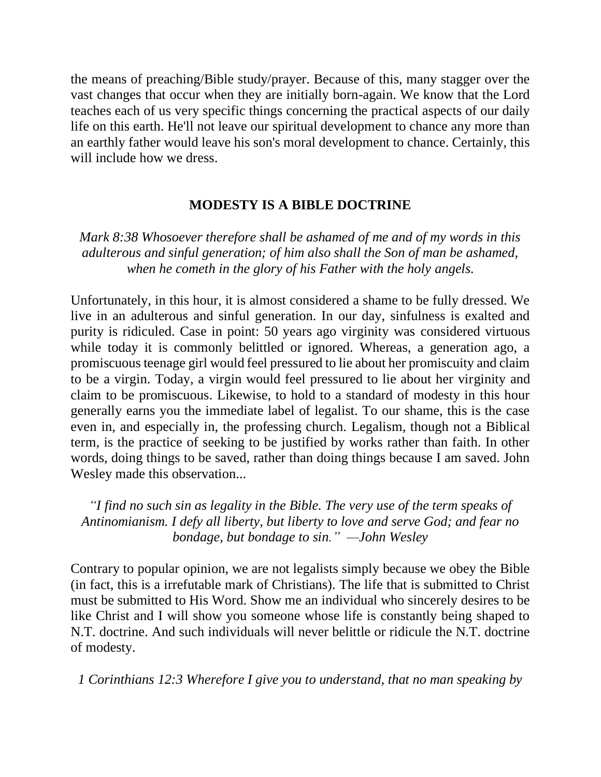the means of preaching/Bible study/prayer. Because of this, many stagger over the vast changes that occur when they are initially born-again. We know that the Lord teaches each of us very specific things concerning the practical aspects of our daily life on this earth. He'll not leave our spiritual development to chance any more than an earthly father would leave his son's moral development to chance. Certainly, this will include how we dress.

#### **MODESTY IS A BIBLE DOCTRINE**

*Mark 8:38 Whosoever therefore shall be ashamed of me and of my words in this adulterous and sinful generation; of him also shall the Son of man be ashamed, when he cometh in the glory of his Father with the holy angels.*

Unfortunately, in this hour, it is almost considered a shame to be fully dressed. We live in an adulterous and sinful generation. In our day, sinfulness is exalted and purity is ridiculed. Case in point: 50 years ago virginity was considered virtuous while today it is commonly belittled or ignored. Whereas, a generation ago, a promiscuous teenage girl would feel pressured to lie about her promiscuity and claim to be a virgin. Today, a virgin would feel pressured to lie about her virginity and claim to be promiscuous. Likewise, to hold to a standard of modesty in this hour generally earns you the immediate label of legalist. To our shame, this is the case even in, and especially in, the professing church. Legalism, though not a Biblical term, is the practice of seeking to be justified by works rather than faith. In other words, doing things to be saved, rather than doing things because I am saved. John Wesley made this observation...

*"I find no such sin as legality in the Bible. The very use of the term speaks of Antinomianism. I defy all liberty, but liberty to love and serve God; and fear no bondage, but bondage to sin." —John Wesley*

Contrary to popular opinion, we are not legalists simply because we obey the Bible (in fact, this is a irrefutable mark of Christians). The life that is submitted to Christ must be submitted to His Word. Show me an individual who sincerely desires to be like Christ and I will show you someone whose life is constantly being shaped to N.T. doctrine. And such individuals will never belittle or ridicule the N.T. doctrine of modesty.

*1 Corinthians 12:3 Wherefore I give you to understand, that no man speaking by*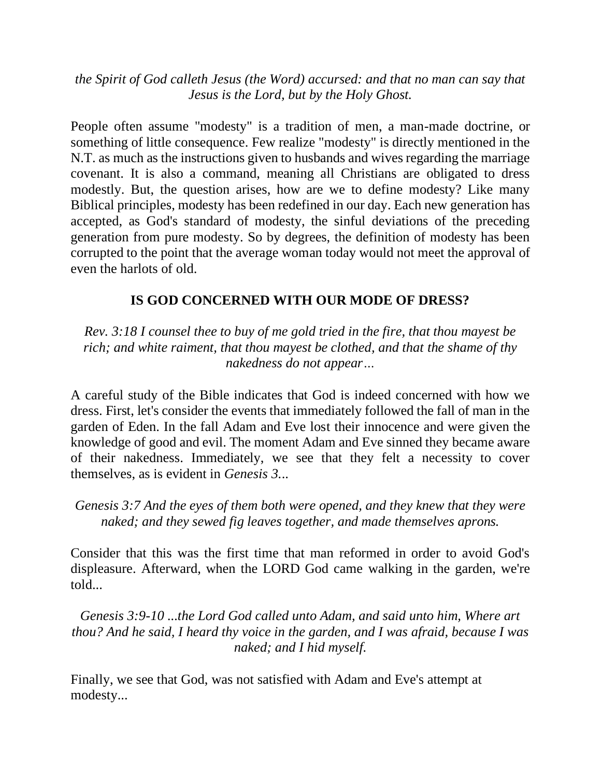*the Spirit of God calleth Jesus (the Word) accursed: and that no man can say that Jesus is the Lord, but by the Holy Ghost.*

People often assume "modesty" is a tradition of men, a man-made doctrine, or something of little consequence. Few realize "modesty" is directly mentioned in the N.T. as much as the instructions given to husbands and wives regarding the marriage covenant. It is also a command, meaning all Christians are obligated to dress modestly. But, the question arises, how are we to define modesty? Like many Biblical principles, modesty has been redefined in our day. Each new generation has accepted, as God's standard of modesty, the sinful deviations of the preceding generation from pure modesty. So by degrees, the definition of modesty has been corrupted to the point that the average woman today would not meet the approval of even the harlots of old.

### **IS GOD CONCERNED WITH OUR MODE OF DRESS?**

*Rev. 3:18 I counsel thee to buy of me gold tried in the fire, that thou mayest be rich; and white raiment, that thou mayest be clothed, and that the shame of thy nakedness do not appear…*

A careful study of the Bible indicates that God is indeed concerned with how we dress. First, let's consider the events that immediately followed the fall of man in the garden of Eden. In the fall Adam and Eve lost their innocence and were given the knowledge of good and evil. The moment Adam and Eve sinned they became aware of their nakedness. Immediately, we see that they felt a necessity to cover themselves, as is evident in *Genesis 3.*..

*Genesis 3:7 And the eyes of them both were opened, and they knew that they were naked; and they sewed fig leaves together, and made themselves aprons.*

Consider that this was the first time that man reformed in order to avoid God's displeasure. Afterward, when the LORD God came walking in the garden, we're told...

*Genesis 3:9-10 ...the Lord God called unto Adam, and said unto him, Where art thou? And he said, I heard thy voice in the garden, and I was afraid, because I was naked; and I hid myself.*

Finally, we see that God, was not satisfied with Adam and Eve's attempt at modesty...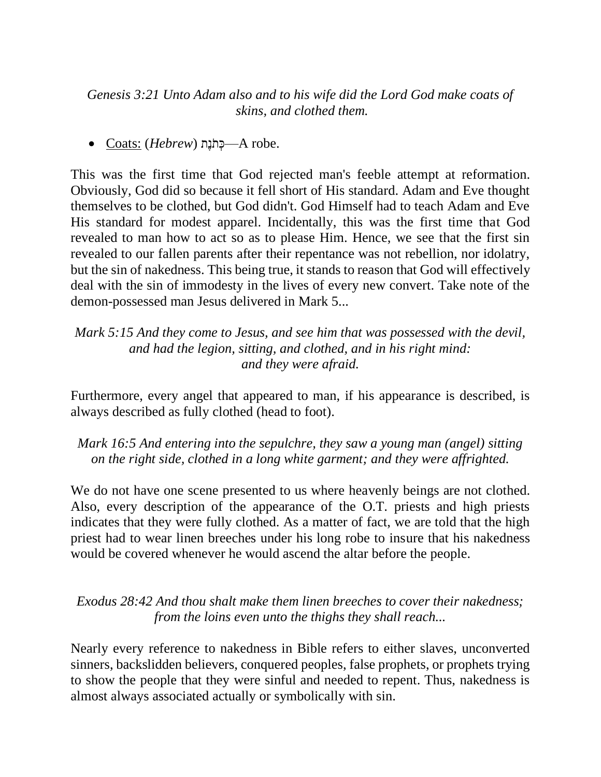*Genesis 3:21 Unto Adam also and to his wife did the Lord God make coats of skins, and clothed them.*

.robe A—כְּ תֹנֶת (*Hebrew* (:Coats•

This was the first time that God rejected man's feeble attempt at reformation. Obviously, God did so because it fell short of His standard. Adam and Eve thought themselves to be clothed, but God didn't. God Himself had to teach Adam and Eve His standard for modest apparel. Incidentally, this was the first time that God revealed to man how to act so as to please Him. Hence, we see that the first sin revealed to our fallen parents after their repentance was not rebellion, nor idolatry, but the sin of nakedness. This being true, it stands to reason that God will effectively deal with the sin of immodesty in the lives of every new convert. Take note of the demon-possessed man Jesus delivered in Mark 5...

### *Mark 5:15 And they come to Jesus, and see him that was possessed with the devil, and had the legion, sitting, and clothed, and in his right mind: and they were afraid.*

Furthermore, every angel that appeared to man, if his appearance is described, is always described as fully clothed (head to foot).

### *Mark 16:5 And entering into the sepulchre, they saw a young man (angel) sitting on the right side, clothed in a long white garment; and they were affrighted.*

We do not have one scene presented to us where heavenly beings are not clothed. Also, every description of the appearance of the O.T. priests and high priests indicates that they were fully clothed. As a matter of fact, we are told that the high priest had to wear linen breeches under his long robe to insure that his nakedness would be covered whenever he would ascend the altar before the people.

### *Exodus 28:42 And thou shalt make them linen breeches to cover their nakedness; from the loins even unto the thighs they shall reach...*

Nearly every reference to nakedness in Bible refers to either slaves, unconverted sinners, backslidden believers, conquered peoples, false prophets, or prophets trying to show the people that they were sinful and needed to repent. Thus, nakedness is almost always associated actually or symbolically with sin.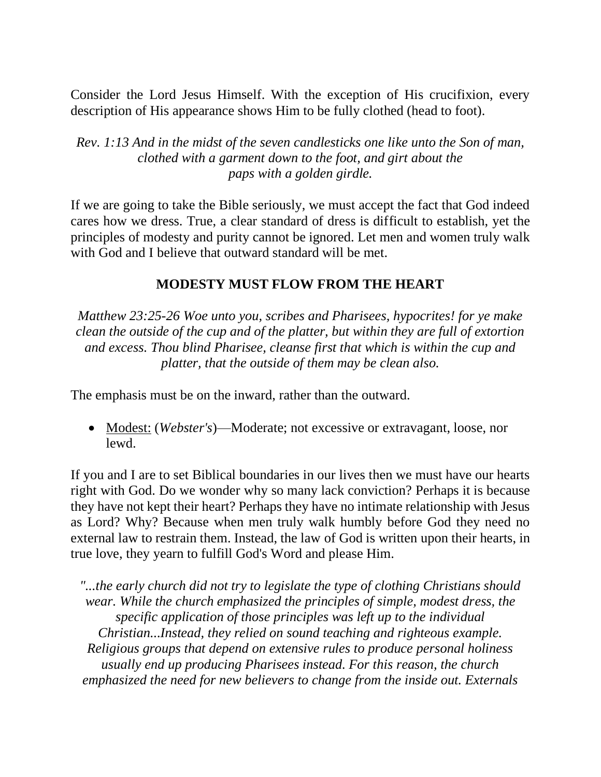Consider the Lord Jesus Himself. With the exception of His crucifixion, every description of His appearance shows Him to be fully clothed (head to foot).

*Rev. 1:13 And in the midst of the seven candlesticks one like unto the Son of man, clothed with a garment down to the foot, and girt about the paps with a golden girdle.*

If we are going to take the Bible seriously, we must accept the fact that God indeed cares how we dress. True, a clear standard of dress is difficult to establish, yet the principles of modesty and purity cannot be ignored. Let men and women truly walk with God and I believe that outward standard will be met.

#### **MODESTY MUST FLOW FROM THE HEART**

*Matthew 23:25-26 Woe unto you, scribes and Pharisees, hypocrites! for ye make clean the outside of the cup and of the platter, but within they are full of extortion and excess. Thou blind Pharisee, cleanse first that which is within the cup and platter, that the outside of them may be clean also.*

The emphasis must be on the inward, rather than the outward.

• Modest: (*Webster's*)—Moderate; not excessive or extravagant, loose, nor lewd.

If you and I are to set Biblical boundaries in our lives then we must have our hearts right with God. Do we wonder why so many lack conviction? Perhaps it is because they have not kept their heart? Perhaps they have no intimate relationship with Jesus as Lord? Why? Because when men truly walk humbly before God they need no external law to restrain them. Instead, the law of God is written upon their hearts, in true love, they yearn to fulfill God's Word and please Him.

*"...the early church did not try to legislate the type of clothing Christians should wear. While the church emphasized the principles of simple, modest dress, the specific application of those principles was left up to the individual Christian...Instead, they relied on sound teaching and righteous example. Religious groups that depend on extensive rules to produce personal holiness usually end up producing Pharisees instead. For this reason, the church emphasized the need for new believers to change from the inside out. Externals*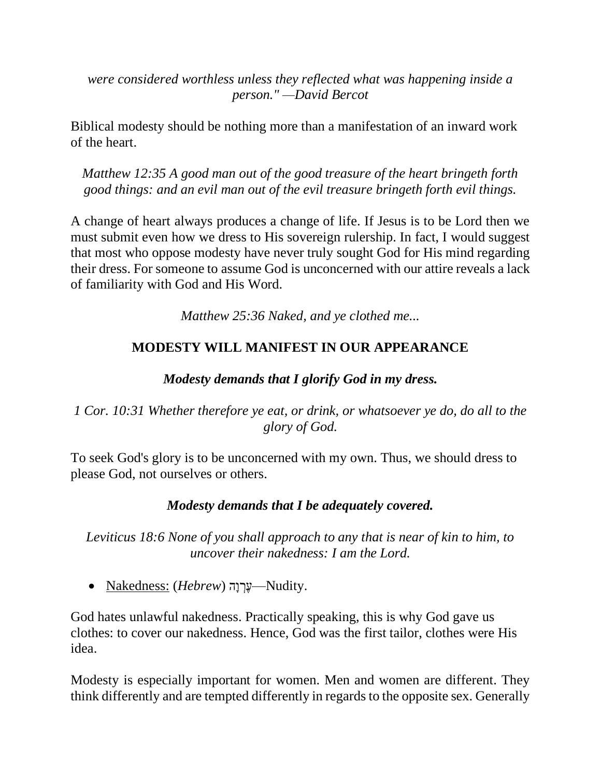*were considered worthless unless they reflected what was happening inside a person." —David Bercot*

Biblical modesty should be nothing more than a manifestation of an inward work of the heart.

*Matthew 12:35 A good man out of the good treasure of the heart bringeth forth good things: and an evil man out of the evil treasure bringeth forth evil things.*

A change of heart always produces a change of life. If Jesus is to be Lord then we must submit even how we dress to His sovereign rulership. In fact, I would suggest that most who oppose modesty have never truly sought God for His mind regarding their dress. For someone to assume God is unconcerned with our attire reveals a lack of familiarity with God and His Word.

*Matthew 25:36 Naked, and ye clothed me...*

# **MODESTY WILL MANIFEST IN OUR APPEARANCE**

# *Modesty demands that I glorify God in my dress.*

# *1 Cor. 10:31 Whether therefore ye eat, or drink, or whatsoever ye do, do all to the glory of God.*

To seek God's glory is to be unconcerned with my own. Thus, we should dress to please God, not ourselves or others.

## *Modesty demands that I be adequately covered.*

*Leviticus 18:6 None of you shall approach to any that is near of kin to him, to uncover their nakedness: I am the Lord.*

• Nakedness: (*Hebrew*) שֵׁרְוַה –Nudity.

God hates unlawful nakedness. Practically speaking, this is why God gave us clothes: to cover our nakedness. Hence, God was the first tailor, clothes were His idea.

Modesty is especially important for women. Men and women are different. They think differently and are tempted differently in regards to the opposite sex. Generally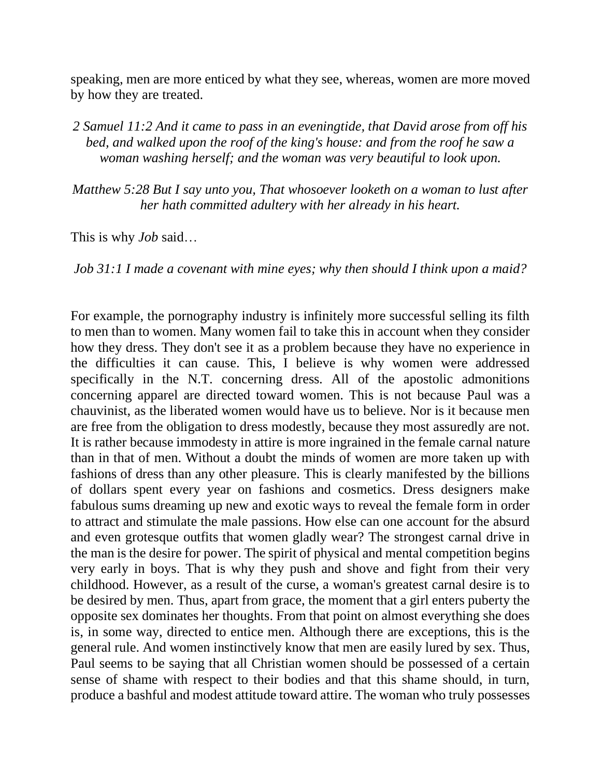speaking, men are more enticed by what they see, whereas, women are more moved by how they are treated.

*2 Samuel 11:2 And it came to pass in an eveningtide, that David arose from off his bed, and walked upon the roof of the king's house: and from the roof he saw a woman washing herself; and the woman was very beautiful to look upon.*

*Matthew 5:28 But I say unto you, That whosoever looketh on a woman to lust after her hath committed adultery with her already in his heart.*

This is why *Job* said…

*Job 31:1 I made a covenant with mine eyes; why then should I think upon a maid?*

For example, the pornography industry is infinitely more successful selling its filth to men than to women. Many women fail to take this in account when they consider how they dress. They don't see it as a problem because they have no experience in the difficulties it can cause. This, I believe is why women were addressed specifically in the N.T. concerning dress. All of the apostolic admonitions concerning apparel are directed toward women. This is not because Paul was a chauvinist, as the liberated women would have us to believe. Nor is it because men are free from the obligation to dress modestly, because they most assuredly are not. It is rather because immodesty in attire is more ingrained in the female carnal nature than in that of men. Without a doubt the minds of women are more taken up with fashions of dress than any other pleasure. This is clearly manifested by the billions of dollars spent every year on fashions and cosmetics. Dress designers make fabulous sums dreaming up new and exotic ways to reveal the female form in order to attract and stimulate the male passions. How else can one account for the absurd and even grotesque outfits that women gladly wear? The strongest carnal drive in the man is the desire for power. The spirit of physical and mental competition begins very early in boys. That is why they push and shove and fight from their very childhood. However, as a result of the curse, a woman's greatest carnal desire is to be desired by men. Thus, apart from grace, the moment that a girl enters puberty the opposite sex dominates her thoughts. From that point on almost everything she does is, in some way, directed to entice men. Although there are exceptions, this is the general rule. And women instinctively know that men are easily lured by sex. Thus, Paul seems to be saying that all Christian women should be possessed of a certain sense of shame with respect to their bodies and that this shame should, in turn, produce a bashful and modest attitude toward attire. The woman who truly possesses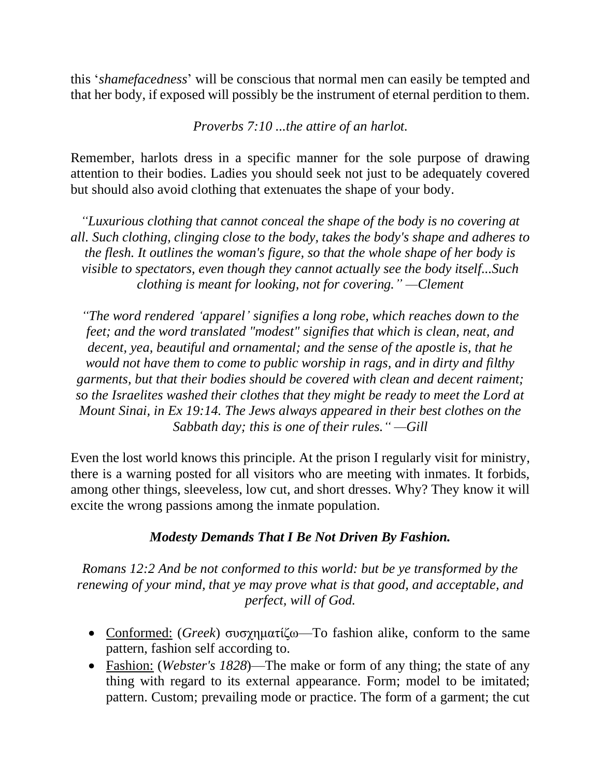this '*shamefacedness*' will be conscious that normal men can easily be tempted and that her body, if exposed will possibly be the instrument of eternal perdition to them.

*Proverbs 7:10 ...the attire of an harlot.*

Remember, harlots dress in a specific manner for the sole purpose of drawing attention to their bodies. Ladies you should seek not just to be adequately covered but should also avoid clothing that extenuates the shape of your body.

*"Luxurious clothing that cannot conceal the shape of the body is no covering at all. Such clothing, clinging close to the body, takes the body's shape and adheres to the flesh. It outlines the woman's figure, so that the whole shape of her body is visible to spectators, even though they cannot actually see the body itself...Such clothing is meant for looking, not for covering." —Clement*

*"The word rendered 'apparel' signifies a long robe, which reaches down to the feet; and the word translated "modest" signifies that which is clean, neat, and decent, yea, beautiful and ornamental; and the sense of the apostle is, that he would not have them to come to public worship in rags, and in dirty and filthy garments, but that their bodies should be covered with clean and decent raiment; so the Israelites washed their clothes that they might be ready to meet the Lord at Mount Sinai, in Ex 19:14. The Jews always appeared in their best clothes on the Sabbath day; this is one of their rules." —Gill*

Even the lost world knows this principle. At the prison I regularly visit for ministry, there is a warning posted for all visitors who are meeting with inmates. It forbids, among other things, sleeveless, low cut, and short dresses. Why? They know it will excite the wrong passions among the inmate population.

### *Modesty Demands That I Be Not Driven By Fashion.*

*Romans 12:2 And be not conformed to this world: but be ye transformed by the renewing of your mind, that ye may prove what is that good, and acceptable, and perfect, will of God.*

- Conformed: (*Greek*) συσχηματίζω—To fashion alike, conform to the same pattern, fashion self according to.
- Fashion: (*Webster's 1828*)—The make or form of any thing; the state of any thing with regard to its external appearance. Form; model to be imitated; pattern. Custom; prevailing mode or practice. The form of a garment; the cut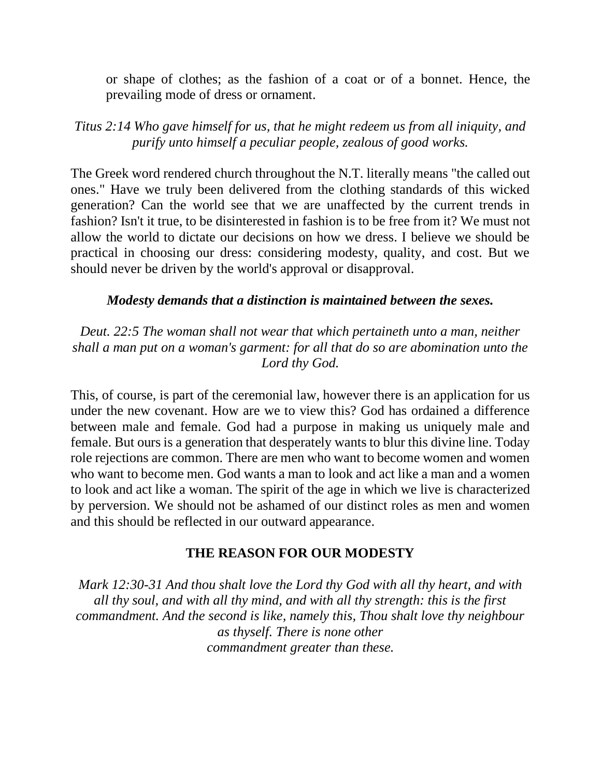or shape of clothes; as the fashion of a coat or of a bonnet. Hence, the prevailing mode of dress or ornament.

*Titus 2:14 Who gave himself for us, that he might redeem us from all iniquity, and purify unto himself a peculiar people, zealous of good works.*

The Greek word rendered church throughout the N.T. literally means "the called out ones." Have we truly been delivered from the clothing standards of this wicked generation? Can the world see that we are unaffected by the current trends in fashion? Isn't it true, to be disinterested in fashion is to be free from it? We must not allow the world to dictate our decisions on how we dress. I believe we should be practical in choosing our dress: considering modesty, quality, and cost. But we should never be driven by the world's approval or disapproval.

#### *Modesty demands that a distinction is maintained between the sexes.*

*Deut. 22:5 The woman shall not wear that which pertaineth unto a man, neither shall a man put on a woman's garment: for all that do so are abomination unto the Lord thy God.*

This, of course, is part of the ceremonial law, however there is an application for us under the new covenant. How are we to view this? God has ordained a difference between male and female. God had a purpose in making us uniquely male and female. But ours is a generation that desperately wants to blur this divine line. Today role rejections are common. There are men who want to become women and women who want to become men. God wants a man to look and act like a man and a women to look and act like a woman. The spirit of the age in which we live is characterized by perversion. We should not be ashamed of our distinct roles as men and women and this should be reflected in our outward appearance.

#### **THE REASON FOR OUR MODESTY**

*Mark 12:30-31 And thou shalt love the Lord thy God with all thy heart, and with all thy soul, and with all thy mind, and with all thy strength: this is the first commandment. And the second is like, namely this, Thou shalt love thy neighbour as thyself. There is none other commandment greater than these.*